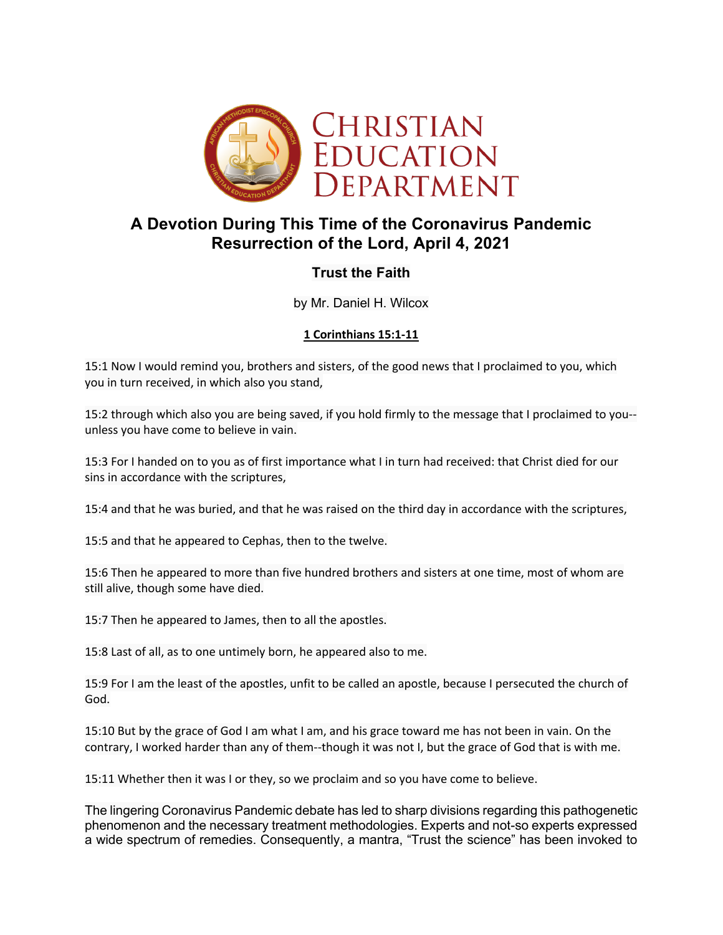

# **A Devotion During This Time of the Coronavirus Pandemic Resurrection of the Lord, April 4, 2021**

## **Trust the Faith**

by Mr. Daniel H. Wilcox

### **1 Corinthians 15:1-11**

15:1 Now I would remind you, brothers and sisters, of the good news that I proclaimed to you, which you in turn received, in which also you stand,

15:2 through which also you are being saved, if you hold firmly to the message that I proclaimed to you- unless you have come to believe in vain.

15:3 For I handed on to you as of first importance what I in turn had received: that Christ died for our sins in accordance with the scriptures,

15:4 and that he was buried, and that he was raised on the third day in accordance with the scriptures,

15:5 and that he appeared to Cephas, then to the twelve.

15:6 Then he appeared to more than five hundred brothers and sisters at one time, most of whom are still alive, though some have died.

15:7 Then he appeared to James, then to all the apostles.

15:8 Last of all, as to one untimely born, he appeared also to me.

15:9 For I am the least of the apostles, unfit to be called an apostle, because I persecuted the church of God.

15:10 But by the grace of God I am what I am, and his grace toward me has not been in vain. On the contrary, I worked harder than any of them--though it was not I, but the grace of God that is with me.

15:11 Whether then it was I or they, so we proclaim and so you have come to believe.

The lingering Coronavirus Pandemic debate has led to sharp divisions regarding this pathogenetic phenomenon and the necessary treatment methodologies. Experts and not-so experts expressed a wide spectrum of remedies. Consequently, a mantra, "Trust the science" has been invoked to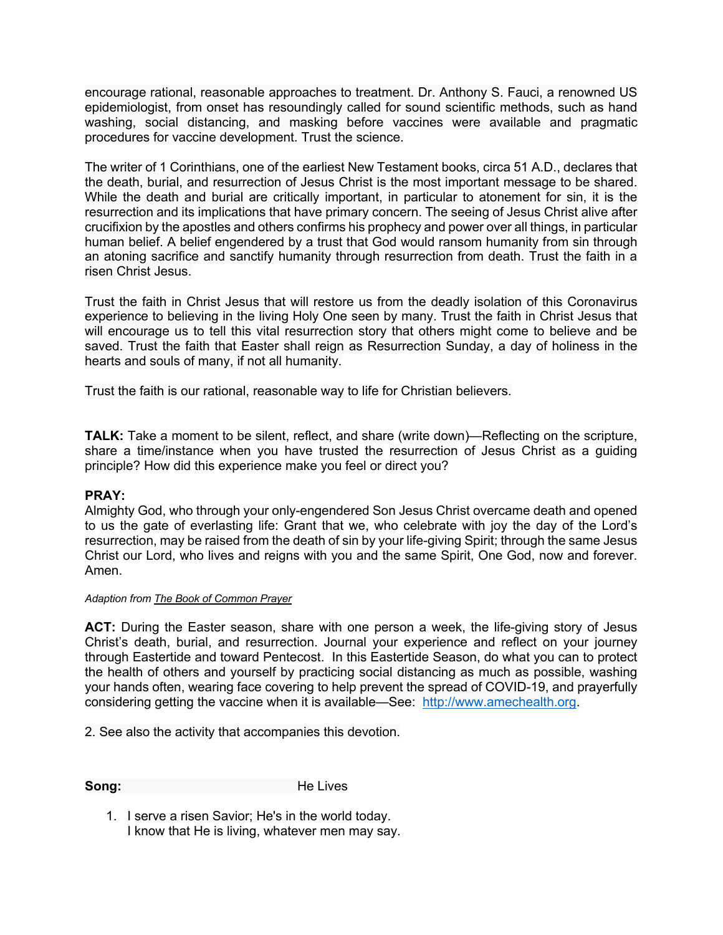encourage rational, reasonable approaches to treatment. Dr. Anthony S. Fauci, a renowned US epidemiologist, from onset has resoundingly called for sound scientific methods, such as hand washing, social distancing, and masking before vaccines were available and pragmatic procedures for vaccine development. Trust the science.

The writer of 1 Corinthians, one of the earliest New Testament books, circa 51 A.D., declares that the death, burial, and resurrection of Jesus Christ is the most important message to be shared. While the death and burial are critically important, in particular to atonement for sin, it is the resurrection and its implications that have primary concern. The seeing of Jesus Christ alive after crucifixion by the apostles and others confirms his prophecy and power over all things, in particular human belief. A belief engendered by a trust that God would ransom humanity from sin through an atoning sacrifice and sanctify humanity through resurrection from death. Trust the faith in a risen Christ Jesus.

Trust the faith in Christ Jesus that will restore us from the deadly isolation of this Coronavirus experience to believing in the living Holy One seen by many. Trust the faith in Christ Jesus that will encourage us to tell this vital resurrection story that others might come to believe and be saved. Trust the faith that Easter shall reign as Resurrection Sunday, a day of holiness in the hearts and souls of many, if not all humanity.

Trust the faith is our rational, reasonable way to life for Christian believers.

**TALK:** Take a moment to be silent, reflect, and share (write down)—Reflecting on the scripture, share a time/instance when you have trusted the resurrection of Jesus Christ as a guiding principle? How did this experience make you feel or direct you?

#### **PRAY:**

Almighty God, who through your only-engendered Son Jesus Christ overcame death and opened to us the gate of everlasting life: Grant that we, who celebrate with joy the day of the Lord's resurrection, may be raised from the death of sin by your life-giving Spirit; through the same Jesus Christ our Lord, who lives and reigns with you and the same Spirit, One God, now and forever. Amen.

#### *Adaption from The Book of Common Prayer*

**ACT:** During the Easter season, share with one person a week, the life-giving story of Jesus Christ's death, burial, and resurrection. Journal your experience and reflect on your journey through Eastertide and toward Pentecost. In this Eastertide Season, do what you can to protect the health of others and yourself by practicing social distancing as much as possible, washing your hands often, wearing face covering to help prevent the spread of COVID-19, and prayerfully considering getting the vaccine when it is available—See: http://www.amechealth.org.

2. See also the activity that accompanies this devotion.

**Song:** He Lives

1. I serve a risen Savior; He's in the world today. I know that He is living, whatever men may say.